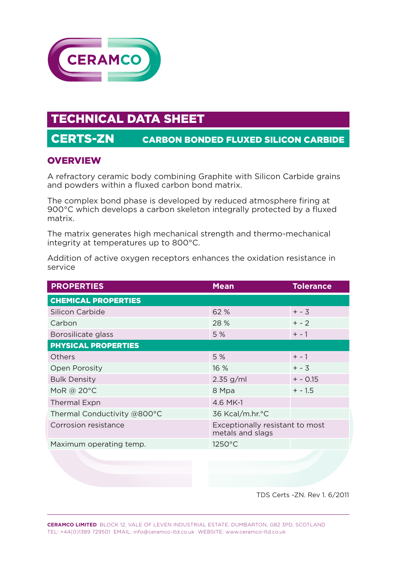

# TECHNICAL DATA SHEET

## CERTS-ZN CARBON BONDED FLUXED SILICON CARBIDE

#### **OVERVIEW**

A refractory ceramic body combining Graphite with Silicon Carbide grains and powders within a fluxed carbon bond matrix.

The complex bond phase is developed by reduced atmosphere firing at 900°C which develops a carbon skeleton integrally protected by a fluxed matrix.

The matrix generates high mechanical strength and thermo-mechanical integrity at temperatures up to 800°C.

Addition of active oxygen receptors enhances the oxidation resistance in service

| <b>PROPERTIES</b>           | <b>Mean</b>                                         | <b>Tolerance</b> |
|-----------------------------|-----------------------------------------------------|------------------|
| <b>CHEMICAL PROPERTIES</b>  |                                                     |                  |
| <b>Silicon Carbide</b>      | 62 %                                                | $+ - 3$          |
| Carbon                      | 28 %                                                | $+ - 2$          |
| Borosilicate glass          | 5 %                                                 | $+ - 1$          |
| <b>PHYSICAL PROPERTIES</b>  |                                                     |                  |
| <b>Others</b>               | 5 %                                                 | $+ - 1$          |
| <b>Open Porosity</b>        | 16 %                                                | $+ - 3$          |
| <b>Bulk Density</b>         | $2.35$ g/ml                                         | $+ - 0.15$       |
| MoR @ 20°C                  | 8 Mpa                                               | $+ - 1.5$        |
| <b>Thermal Expn</b>         | 4.6 MK-1                                            |                  |
| Thermal Conductivity @800°C | 36 Kcal/m.hr.°C                                     |                  |
| Corrosion resistance        | Exceptionally resistant to most<br>metals and slags |                  |
| Maximum operating temp.     | 1250°C                                              |                  |
|                             |                                                     |                  |

TDS Certs -ZN. Rev 1. 6/2011